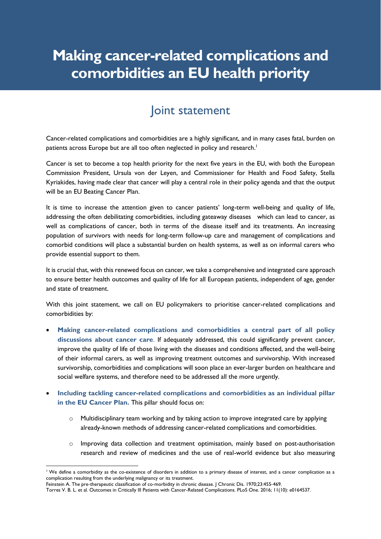# **Making cancer-related complications and comorbidities an EU health priority**

### Joint statement

Cancer-related complications and comorbidities are a highly significant, and in many cases fatal, burden on patients across Europe but are all too often neglected in policy and research.<sup>1</sup>

Cancer is set to become a top health priority for the next five years in the EU, with both the European Commission President, Ursula von der Leyen, and Commissioner for Health and Food Safety, Stella Kyriakides, having made clear that cancer will play a central role in their policy agenda and that the output will be an EU Beating Cancer Plan.

It is time to increase the attention given to cancer patients' long-term well-being and quality of life, addressing the often debilitating comorbidities, including gateaway diseases which can lead to cancer, as well as complications of cancer, both in terms of the disease itself and its treatments. An increasing population of survivors with needs for long-term follow-up care and management of complications and comorbid conditions will place a substantial burden on health systems, as well as on informal carers who provide essential support to them.

It is crucial that, with this renewed focus on cancer, we take a comprehensive and integrated care approach to ensure better health outcomes and quality of life for all European patients, independent of age, gender and state of treatment.

With this joint statement, we call on EU policymakers to prioritise cancer-related complications and comorbidities by:

- **Making cancer-related complications and comorbidities a central part of all policy discussions about cancer care**. If adequately addressed, this could significantly prevent cancer, improve the quality of life of those living with the diseases and conditions affected, and the well-being of their informal carers, as well as improving treatment outcomes and survivorship. With increased survivorship, comorbidities and complications will soon place an ever-larger burden on healthcare and social welfare systems, and therefore need to be addressed all the more urgently.
- **Including tackling cancer-related complications and comorbidities as an individual pillar in the EU Cancer Plan.** This pillar should focus on:
	- $\circ$  Multidisciplinary team working and by taking action to improve integrated care by applying already-known methods of addressing cancer-related complications and comorbidities.
	- o Improving data collection and treatment optimisation, mainly based on post-authorisation research and review of medicines and the use of real-world evidence but also measuring

<sup>&</sup>lt;sup>1</sup> We define a comorbidity as the co-existence of disorders in addition to a primary disease of interest, and a cancer complication as a complication resulting from the underlying malignancy or its treatment.

Feinstein A. The pre-therapeutic classification of co-morbidity in chronic disease. J Chronic Dis. 1970;23:455-469.

Torres V. B. L. et al. Outcomes in Critically Ill Patients with Cancer-Related Complications. PLoS One. 2016; 11(10): e0164537.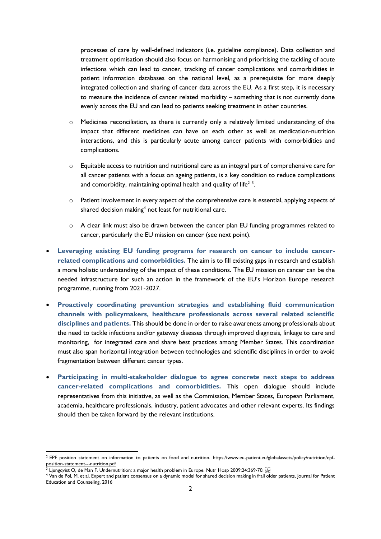processes of care by well-defined indicators (i.e. guideline compliance). Data collection and treatment optimisation should also focus on harmonising and prioritising the tackling of acute infections which can lead to cancer, tracking of cancer complications and comorbidities in patient information databases on the national level, as a prerequisite for more deeply integrated collection and sharing of cancer data across the EU. As a first step, it is necessary to measure the incidence of cancer related morbidity – something that is not currently done evenly across the EU and can lead to patients seeking treatment in other countries.

- o Medicines reconciliation, as there is currently only a relatively limited understanding of the impact that different medicines can have on each other as well as medication-nutrition interactions, and this is particularly acute among cancer patients with comorbidities and complications.
- o Equitable access to nutrition and nutritional care as an integral part of comprehensive care for all cancer patients with a focus on ageing patients, is a key condition to reduce complications and comorbidity, maintaining optimal health and quality of life<sup>23</sup>.
- $\circ$  Patient involvement in every aspect of the comprehensive care is essential, applying aspects of shared decision making $4$  not least for nutritional care.
- $\circ$  A clear link must also be drawn between the cancer plan EU funding programmes related to cancer, particularly the EU mission on cancer (see next point).
- Leveraging existing EU funding programs for research on cancer to include cancer**related complications and comorbidities.** The aim is to fill existing gaps in research and establish a more holistic understanding of the impact of these conditions. The EU mission on cancer can be the needed infrastructure for such an action in the framework of the EU's Horizon Europe research programme, running from 2021-2027.
- **Proactively coordinating prevention strategies and establishing fluid communication channels with policymakers, healthcare professionals across several related scientific disciplines and patients.** This should be done in order to raise awareness among professionals about the need to tackle infections and/or gateway diseases through improved diagnosis, linkage to care and monitoring, for integrated care and share best practices among Member States. This coordination must also span horizontal integration between technologies and scientific disciplines in order to avoid fragmentation between different cancer types.
- **Participating in multi-stakeholder dialogue to agree concrete next steps to address cancer-related complications and comorbidities.** This open dialogue should include representatives from this initiative, as well as the Commission, Member States, European Parliament, academia, healthcare professionals, industry, patient advocates and other relevant experts. Its findings should then be taken forward by the relevant institutions.

<sup>&</sup>lt;sup>2</sup> EPF position statement on information to patients on food and nutrition. [https://www.eu-patient.eu/globalassets/policy/nutrition/epf](https://www.eu-patient.eu/globalassets/policy/nutrition/epf-position-statement---nutrition.pdf)[position-statement---nutrition.pdf](https://www.eu-patient.eu/globalassets/policy/nutrition/epf-position-statement---nutrition.pdf)<br>3 Liungovist O, do Man E, Underni

Ljungqvist O, de Man F. Undernutrition: a major health problem in Europe. Nutr Hosp 2009;24:369-70.

<sup>4</sup> Van de Pol, M, et al. Expert and patient consensus on a dynamic model for shared decision making in frail older patients, Journal for Patient Education and Counseling, 2016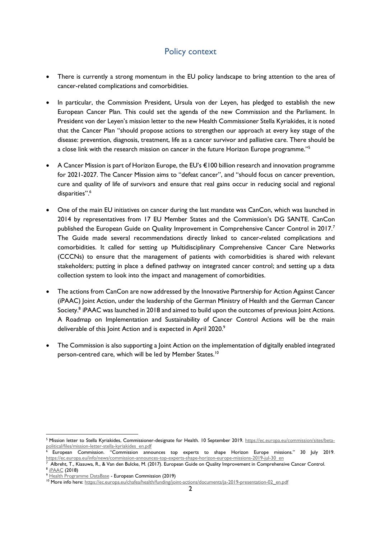#### Policy context

- There is currently a strong momentum in the EU policy landscape to bring attention to the area of cancer-related complications and comorbidities.
- In particular, the Commission President, Ursula von der Leyen, has pledged to establish the new European Cancer Plan. This could set the agenda of the new Commission and the Parliament. In President von der Leyen's mission letter to the new Health Commissioner Stella Kyriakides, it is noted that the Cancer Plan "should propose actions to strengthen our approach at every key stage of the disease: prevention, diagnosis, treatment, life as a cancer survivor and palliative care. There should be a close link with the research mission on cancer in the future Horizon Europe programme."<sup>5</sup>
- A Cancer Mission is part of Horizon Europe, the EU's €100 billion research and innovation programme for 2021-2027. The Cancer Mission aims to "defeat cancer", and "should focus on cancer prevention, cure and quality of life of survivors and ensure that real gains occur in reducing social and regional disparities".<sup>6</sup>
- One of the main EU initiatives on cancer during the last mandate was CanCon, which was launched in 2014 by representatives from 17 EU Member States and the Commission's DG SANTE. CanCon published the European Guide on Quality Improvement in Comprehensive Cancer Control in 2017.<sup>7</sup> The Guide made several recommendations directly linked to cancer-related complications and comorbidities. It called for setting up Multidisciplinary Comprehensive Cancer Care Networks (CCCNs) to ensure that the management of patients with comorbidities is shared with relevant stakeholders; putting in place a defined pathway on integrated cancer control; and setting up a data collection system to look into the impact and management of comorbidities.
- The actions from CanCon are now addressed by the Innovative Partnership for Action Against Cancer (iPAAC) Joint Action, under the leadership of the German Ministry of Health and the German Cancer Society.<sup>8</sup> iPAAC was launched in 2018 and aimed to build upon the outcomes of previous Joint Actions. A Roadmap on Implementation and Sustainability of Cancer Control Actions will be the main deliverable of this Joint Action and is expected in April 2020.9
- The Commission is also supporting a Joint Action on the implementation of digitally enabled integrated person-centred care, which will be led by Member States.<sup>10</sup>

<sup>5</sup> Mission letter to Stella Kyriakides, Commissioner-designate for Health. 10 September 2019. [https://ec.europa.eu/commission/sites/beta](about:blank)[political/files/mission-letter-stella-kyriakides\\_en.pdf](about:blank)

<sup>6</sup> European Commission. "Commission announces top experts to shape Horizon Europe missions." 30 July 2019. [https://ec.europa.eu/info/news/commission-announces-top-experts-shape-horizon-europe-missions-2019-jul-30\\_en](about:blank)

<sup>7</sup> Albreht, T., Kiasuwa, R., & Van den Bulcke, M. (2017). European Guide on Quality Improvement in Comprehensive Cancer Control. 8 [iPAAC](about:blank) (2018)

<sup>9</sup> [Health Programme DataBase](about:blank) - European Commission (2019)

<sup>&</sup>lt;sup>10</sup> More info here[: https://ec.europa.eu/chafea/health/funding/joint-actions/documents/ja-2019-presentation-02\\_en.pdf](about:blank)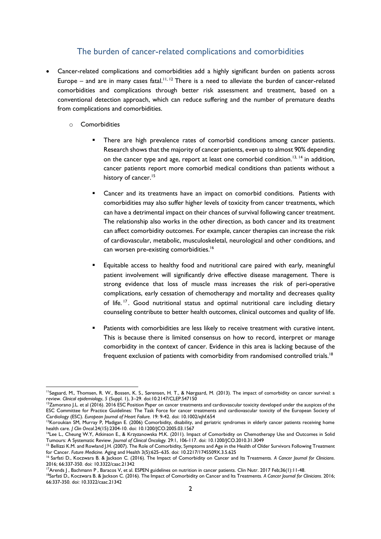#### The burden of cancer-related complications and comorbidities

- Cancer-related complications and comorbidities add a highly significant burden on patients across Europe – and are in many cases fatal.<sup>11, 12</sup> There is a need to alleviate the burden of cancer-related comorbidities and complications through better risk assessment and treatment, based on a conventional detection approach, which can reduce suffering and the number of premature deaths from complications and comorbidities.
	- o Comorbidities
		- There are high prevalence rates of comorbid conditions among cancer patients. Research shows that the majority of cancer patients, even up to almost 90% depending on the cancer type and age, report at least one comorbid condition.<sup>13, 14</sup> in addition, cancer patients report more comorbid medical conditions than patients without a history of cancer.<sup>15</sup>
		- Cancer and its treatments have an impact on comorbid conditions. Patients with comorbidities may also suffer higher levels of toxicity from cancer treatments, which can have a detrimental impact on their chances of survival following cancer treatment. The relationship also works in the other direction, as both cancer and its treatment can affect comorbidity outcomes. For example, cancer therapies can increase the risk of cardiovascular, metabolic, musculoskeletal, neurological and other conditions, and can worsen pre-existing comorbidities.<sup>16</sup>
		- Equitable access to healthy food and nutritional care paired with early, meaningful patient involvement will significantly drive effective disease management. There is strong evidence that loss of muscle mass increases the risk of peri-operative complications, early cessation of chemotherapy and mortality and decreases quality of life. 17 . Good nutritional status and optimal nutritional care including dietary counseling contribute to better health outcomes, clinical outcomes and quality of life.
		- **EXECUTE:** Patients with comorbidities are less likely to receive treatment with curative intent. This is because there is limited consensus on how to record, interpret or manage comorbidity in the context of cancer. Evidence in this area is lacking because of the frequent exclusion of patients with comorbidity from randomised controlled trials.<sup>18</sup>

<sup>11</sup>Søgaard, M., Thomsen, R. W., Bossen, K. S., Sørensen, H. T., & Nørgaard, M. (2013). The impact of comorbidity on cancer survival: a review. *Clinical epidemiology*, *5* (Suppl. 1), 3–29. doi:10.2147/CLEP.S47150

 $12$ Zamorano J.L. et al (2016). 2016 ESC Position Paper on cancer treatments and cardiovascular toxicity developed under the auspices of the ESC Committee for Practice Guidelines: The Task Force for cancer treatments and cardiovascular toxicity of the European Society of Cardiology (ESC). *European Journal of Heart Failure.* 19: 9-42. doi: 10.1002/ejhf.654

<sup>&</sup>lt;sup>13</sup>Koroukian SM, Murray P, Madigan E. (2006) Comorbidity, disability, and geriatric syndromes in elderly cancer patients receiving home health care. *J Clin Oncol*.24(15):2304-10. doi: 10.1200/JCO.2005.03.1567

<sup>&</sup>lt;sup>14</sup>Lee L., Cheung W.Y, Atkinson E., & Krzyzanowska M.K. (2011). Impact of Comorbidity on Chemotherapy Use and Outcomes in Solid Tumours: A Systematic Review. *Journal of Clinical Oncology.* 29:1, 106-117. doi: 10.1200/JCO.2010.31.3049

<sup>&</sup>lt;sup>15</sup> Bellizzi K.M. and Rowland J.H. (2007). The Role of Comorbidity, Symptoms and Age in the Health of Older Survivors Following Treatment for Cancer. *Future Medicine.* Aging and Health 3(5):625–635. doi: 10.2217/1745509X.3.5.625

<sup>16</sup> Sarfati D., Koczwara B. & Jackson C. (2016). The Impact of Comorbidity on Cancer and Its Treatments. *A Cancer Journal for Clinicians*. 2016; 66:337-350. doi: 10.3322/caac.21342

<sup>17</sup>Arends J , Bachmann P , Baracos V, et al. ESPEN guidelines on nutrition in cancer patients. Clin Nutr. 2017 Feb;36(1):11-48.

<sup>18</sup>Sarfati D., Koczwara B. & Jackson C. (2016). The Impact of Comorbidity on Cancer and Its Treatments. *A Cancer Journal for Clinicians*. 2016; 66:337-350. doi: 10.3322/caac.21342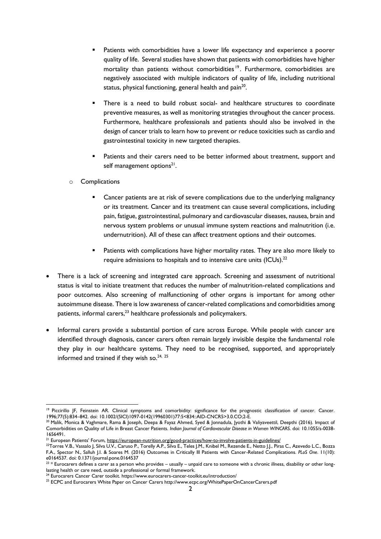- Patients with comorbidities have a lower life expectancy and experience a poorer quality of life. Several studies have shown that patients with comorbidities have higher mortality than patients without comorbidities<sup>19</sup>. Furthermore, comorbidities are negatively associated with multiple indicators of quality of life, including nutritional status, physical functioning, general health and pain<sup>20</sup>.
- There is a need to build robust social- and healthcare structures to coordinate preventive measures, as well as monitoring strategies throughout the cancer process. Furthermore, healthcare professionals and patients should also be involved in the design of cancer trials to learn how to prevent or reduce toxicities such as cardio and gastrointestinal toxicity in new targeted therapies.
- Patients and their carers need to be better informed about treatment, support and self management options<sup>21</sup>.
- o Complications
	- Cancer patients are at risk of severe complications due to the underlying malignancy or its treatment. Cancer and its treatment can cause several complications, including pain, fatigue, gastrointestinal, pulmonary and cardiovascular diseases, nausea, brain and nervous system problems or unusual immune system reactions and malnutrition (i.e. undernutrition). All of these can affect treatment options and their outcomes.
	- **■** Patients with complications have higher mortality rates. They are also more likely to require admissions to hospitals and to intensive care units (ICUs).<sup>22</sup>
- There is a lack of screening and integrated care approach. Screening and assessment of nutritional status is vital to initiate treatment that reduces the number of malnutrition-related complications and poor outcomes. Also screening of malfunctioning of other organs is important for among other autoimmune disease. There is low awareness of cancer-related complications and comorbidities among patients, informal carers,<sup>23</sup> healthcare professionals and policymakers.
- Informal carers provide a substantial portion of care across Europe. While people with cancer are identified through diagnosis, cancer carers often remain largely invisible despite the fundamental role they play in our healthcare systems. They need to be recognised, supported, and appropriately informed and trained if they wish so. $24, 25$

<sup>&</sup>lt;sup>19</sup> Piccirillo JF, Feinstein AR. Clinical symptoms and comorbidity: significance for the prognostic classification of cancer. Cancer. 1996;77(5):834–842. doi: 10.1002/(SICI)1097-0142(19960301)77:5<834::AID-CNCR5>3.0.CO;2-E.

<sup>&</sup>lt;sup>20</sup> Malik, Monica & Vaghmare, Rama & Joseph, Deepa & Fayaz Ahmed, Syed & Jonnadula, Jyothi & Valiyaveettil, Deepthi (2016). Impact of Comorbidities on Quality of Life in Breast Cancer Patients. *Indian Journal of Cardiovascular Disease in Women WINCARS*. doi: 10.1055/s-0038- 1656491.

<sup>&</sup>lt;sup>21</sup> European Patients' Forum, <u>https://european-nutrition.org/good-practices/how-to-involve-patients-in-guidelines/</u>

 $^{22}$ Torres V.B., Vassalo J, Silva U.V., Caruso P., Torelly A.P., Silva E., Teles J.M., Knibel M., Rezende E., Netto J.J., Piras C., Azevedo L.C., Bozza F.A., Spector N., Salluh J.I. & Soares M. (2016) Outcomes in Critically Ill Patients with Cancer-Related Complications. *PLoS One*. 11(10): e0164537. doi: 0.1371/journal.pone.0164537

 $^{23}$   $*$  Eurocarers defines a carer as a person who provides – usually – unpaid care to someone with a chronic illness, disability or other longlasting health or care need, outside a professional or formal framework.

<sup>&</sup>lt;sup>24</sup> Eurocarers Cancer Carer toolkit. https://www.eurocarers-cancer-toolkit.eu/introduction/

<sup>&</sup>lt;sup>25</sup> ECPC and Eurocarers White Paper on Cancer Carers http://www.ecpc.org/WhitePaperOnCancerCarers.pdf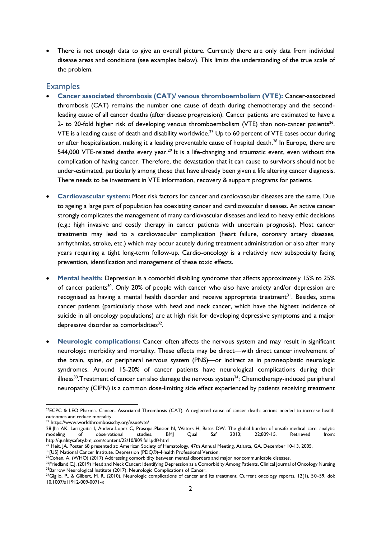There is not enough data to give an overall picture. Currently there are only data from individual disease areas and conditions (see examples below). This limits the understanding of the true scale of the problem.

#### **Examples**

- **Cancer associated thrombosis (CAT)/ venous thromboembolism (VTE):** Cancer-associated thrombosis (CAT) remains the number one cause of death during chemotherapy and the secondleading cause of all cancer deaths (after disease progression). Cancer patients are estimated to have a 2- to 20-fold higher risk of developing venous thromboembolism (VTE) than non-cancer patients<sup>26</sup>. VTE is a leading cause of death and disability worldwide. <sup>27</sup> Up to 60 percent of VTE cases occur during or after hospitalisation, making it a leading preventable cause of hospital death.<sup>28</sup> In Europe, there are 544,000 VTE-related deaths every year.<sup>29</sup> It is a life-changing and traumatic event, even without the complication of having cancer. Therefore, the devastation that it can cause to survivors should not be under-estimated, particularly among those that have already been given a life altering cancer diagnosis. There needs to be investment in VTE information, recovery & support programs for patients.
- **Cardiovascular system:** Most risk factors for cancer and cardiovascular diseases are the same. Due to ageing a large part of population has coexisting cancer and cardiovascular diseases. An active cancer strongly complicates the management of many cardiovascular diseases and lead to heavy ethic decisions (e.g.: high invasive and costly therapy in cancer patients with uncertain prognosis). Most cancer treatments may lead to a cardiovascular complication (heart failure, coronary artery diseases, arrhythmias, stroke, etc.) which may occur acutely during treatment administration or also after many years requiring a tight long-term follow-up. Cardio-oncology is a relatively new subspecialty facing prevention, identification and management of these toxic effects.
- **Mental health:** Depression is a comorbid disabling syndrome that affects approximately 15% to 25% of cancer patients<sup>30</sup>. Only 20% of people with cancer who also have anxiety and/or depression are recognised as having a mental health disorder and receive appropriate treatment<sup>31</sup>. Besides, some cancer patients (particularly those with head and neck cancer, which have the highest incidence of suicide in all oncology populations) are at high risk for developing depressive symptoms and a major depressive disorder as comorbidities<sup>32</sup>.
- **Neurologic complications:** Cancer often affects the nervous system and may result in significant neurologic morbidity and mortality. These effects may be direct—with direct cancer involvement of the brain, spine, or peripheral nervous system (PNS)—or indirect as in paraneoplastic neurologic syndromes. Around 15-20% of cancer patients have neurological complications during their illness<sup>33</sup>.Treatment of cancer can also damage the nervous system<sup>34</sup>; Chemotherapy-induced peripheral neuropathy (CIPN) is a common dose-limiting side effect experienced by patients receiving treatment

<sup>29</sup> Heit, JA. Poster 68 presented at: American Society of Hematology, 47th Annual Meeting, Atlanta, GA, December 10-13, 2005.

<sup>&</sup>lt;sup>26</sup>ECPC & LEO Pharma. Cancer- Associated Thrombosis (CAT), A neglected cause of cancer death: actions needed to increase health outcomes and reduce mortality.

<sup>&</sup>lt;sup>27</sup> https://www.worldthrombosisday.org/issue/vte/

<sup>28</sup> Jha AK, Larizgoitia I, Audera-Lopez C, Prasopa-Plaisier N, Waters H, Bates DW. The global burden of unsafe medical care: analytic modeling of observational studies. BMJ Qual Saf 2013; 22;809-15. Retrieved from: http://qualitysafety.bmj.com/content/22/10/809.full.pdf+html

<sup>&</sup>lt;sup>30</sup>[US] National Cancer Institute. Depression (PDQ®)-Health Professional Version.

<sup>&</sup>lt;sup>31</sup>Cohen, A. (WHO) (2017) Addressing comorbidity between mental disorders and major noncommunicable diseases.

<sup>32</sup>Friedland C.J. (2019) Head and Neck Cancer: Identifying Depression as a Comorbidity Among Patients. Clinical Journal of Oncology Nursing <sup>33</sup>Barrow Neurological Institute (2017). Neurologic Complications of Cancer.

<sup>&</sup>lt;sup>34</sup>Giglio, P., & Gilbert, M. R. (2010). Neurologic complications of cancer and its treatment. Current oncology reports, 12(1), 50–59. doi: 10.1007/s11912-009-0071-x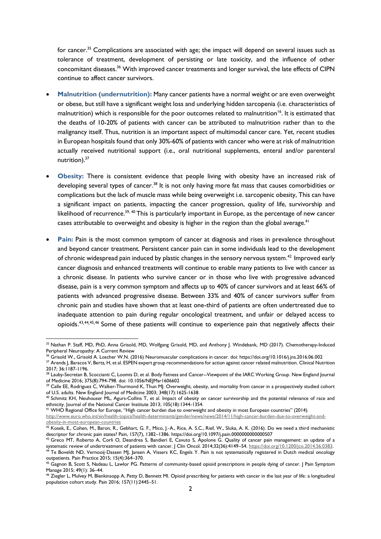for cancer.<sup>35</sup> Complications are associated with age; the impact will depend on several issues such as tolerance of treatment, development of persisting or late toxicity, and the influence of other concomitant diseases.<sup>36</sup> With improved cancer treatments and longer survival, the late effects of CIPN continue to affect cancer survivors.

- **Malnutrition (undernutrition):** Many cancer patients have a normal weight or are even overweight or obese, but still have a significant weight loss and underlying hidden sarcopenia (i.e. characteristics of malnutrition) which is responsible for the poor outcomes related to malnutrition<sup>16</sup>. It is estimated that the deaths of 10-20% of patients with cancer can be attributed to malnutrition rather than to the malignancy itself. Thus, nutrition is an important aspect of multimodal cancer care. Yet, recent studies in European hospitals found that only 30%-60% of patients with cancer who were at risk of malnutrition actually received nutritional support (i.e., oral nutritional supplements, enteral and/or parenteral nutrition).<sup>37</sup>
- **Obesity:** There is consistent evidence that people living with obesity have an increased risk of developing several types of cancer.<sup>38</sup> It is not only having more fat mass that causes comorbidities or complications but the lack of muscle mass while being overweight i.e. sarcopenic obesity, This can have a significant impact on patients, impacting the cancer progression, quality of life, survivorship and likelihood of recurrence.<sup>39, 40</sup> This is particularly important in Europe, as the percentage of new cancer cases attributable to overweight and obesity is higher in the region than the global average.<sup>41</sup>
- **Pain:** Pain is the most common symptom of cancer at diagnosis and rises in prevalence throughout and beyond cancer treatment. Persistent cancer pain can in some individuals lead to the development of chronic widespread pain induced by plastic changes in the sensory nervous system.<sup>42</sup> Improved early cancer diagnosis and enhanced treatments will continue to enable many patients to live with cancer as a chronic disease. In patients who survive cancer or in those who live with progressive advanced disease, pain is a very common symptom and affects up to 40% of cancer survivors and at least 66% of patients with advanced progressive disease. Between 33% and 40% of cancer survivors suffer from chronic pain and studies have shown that at least one-third of patients are often undertreated due to inadequate attention to pain during regular oncological treatment, and unfair or delayed access to opioids.<sup>43,44,45,46</sup> Some of these patients will continue to experience pain that negatively affects their

<sup>35</sup> Nathan P. Staff, MD, PhD, Anna Grisold, MD, Wolfgang Grisold, MD, and Anthony J. Windebank, MD (2017). Chemotherapy-Induced Peripheral Neuropathy: A Current Review

<sup>36</sup> Grisold W., Grisold A. Loscher W.N. (2016) Neuromuscular complications in cancer. doi: https://doi.org/10.1016/j.jns.2016.06.002

<sup>&</sup>lt;sup>37</sup> Arends J, Baracos V, Bertz, H, et al. ESPEN expert group recommendations for action against cancer related malnutrition. Clinical Nutrition 2017; 36:1187-1196.

<sup>38</sup> Lauby-Secretan B, Scoccianti C, Loomis D, et al. Body Fatness and Cancer--Viewpoint of the IARC Working Group. New England Journal of Medicine 2016; 375(8):794-798. doi: 10.1056/NEJMsr1606602

<sup>&</sup>lt;sup>39</sup> Calle EE, Rodriguez C, Walker-Thurmond K, Thun MJ. Overweight, obesity, and mortality from cancer in a prospectively studied cohort of U.S. adults. New England Journal of Medicine 2003; 348(17):1625-1638.

<sup>&</sup>lt;sup>40</sup> Schmitz KH, Neuhouser ML, Agurs-Collins T, et al. Impact of obesity on cancer survivorship and the potential relevance of race and ethnicity. Journal of the National Cancer Institute 2013; 105(18):1344-1354.

<sup>41</sup> WHO Regional Office for Europe, "High cancer burden due to overweight and obesity in most European countries" (2014).

[http://www.euro.who.int/en/health-topics/health-determinants/gender/news/news/2014/11/high-cancer-burden-due-to-overweight-and](http://www.euro.who.int/en/health-topics/health-determinants/gender/news/news/2014/11/high-cancer-burden-due-to-overweight-and-obesity-in-most-european-countries)[obesity-in-most-european-countries](http://www.euro.who.int/en/health-topics/health-determinants/gender/news/news/2014/11/high-cancer-burden-due-to-overweight-and-obesity-in-most-european-countries)

 $^{42}$  Kosek, E., Cohen, M., Baron, R., Gebhart, G. F., Mico, J.-A., Rice, A. S.C., Rief, W., Sluka, A. K. (2016). Do we need a third mechanistic descriptor for chronic pain states? Pain, 157(7), 1382–1386. https://doi.org/10.1097/j.pain.0000000000000507

<sup>43</sup> Greco MT, Roberto A, Corli O, Deandrea S, Bandieri E, Cavuto S, Apolone G. Quality of cancer pain management: an update of a systematic review of undertreatment of patients with cancer. J Clin Oncol. 2014;32(36):4149–54. [https://doi.org/10.1200/jco.2014.56.0383.](https://doi.org/10.1200/jco.2014.56.0383) <sup>44</sup> Te Boveldt ND, Vernooij‐Dassen MJ, Jansen A, Vissers KC, Engels Y. Pain is not systematically registered in Dutch medical oncology outpatients. Pain Practice 2015; 15(4):364–370.

<sup>&</sup>lt;sup>45</sup> Gagnon B, Scott S, Nadeau L, Lawlor PG. Patterns of community-based opioid prescriptions in people dying of cancer. J Pain Symptom Manage 2015; 49(1): 36–44.

<sup>46</sup> Ziegler L, Mulvey M, Blenkinsopp A, Petty D, Bennett MI. Opioid prescribing for patients with cancer in the last year of life: a longitudinal population cohort study. Pain 2016; 157(11):2445–51.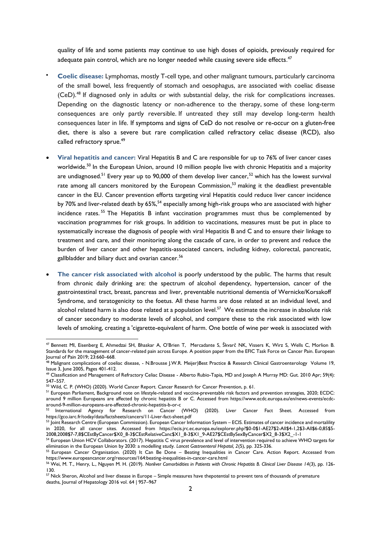quality of life and some patients may continue to use high doses of opioids, previously required for adequate pain control, which are no longer needed while causing severe side effects.<sup>47</sup>

- **Coelic disease:** Lymphomas, mostly T-cell type, and other malignant tumours, particularly carcinoma of the small bowel, less frequently of stomach and oesophagus, are associated with coeliac disease (CeD). <sup>48</sup> If diagnosed only in adults or with substantial delay, the risk for complications increases. Depending on the diagnostic latency or non-adherence to the therapy, some of these long-term consequences are only partly reversible. If untreated they still may develop long-term health consequences later in life. If symptoms and signs of CeD do not resolve or re-occur on a gluten-free diet, there is also a severe but rare complication called refractory celiac disease (RCD), also called [refractory sprue.](https://celiacfacts-onlinecourses.eu/mod/glossary/showentry.php?eid=1604&displayformat=dictionary)<sup>49</sup>
- **Viral hepatitis and cancer:** Viral Hepatitis B and C are responsible for up to 76% of liver cancer cases worldwide.<sup>50</sup> In the European Union, around 10 million people live with chronic Hepatitis and a majority are undiagnosed.<sup>51</sup> Every year up to 90,000 of them develop liver cancer,<sup>52</sup> which has the lowest survival rate among all cancers monitored by the European Commission,<sup>53</sup> making it the deadliest preventable cancer in the EU. Cancer prevention efforts targeting viral Hepatitis could reduce liver cancer incidence by 70% and liver-related death by 65%,<sup>54</sup> especially among high-risk groups who are associated with higher incidence rates. <sup>55</sup> The Hepatitis B infant vaccination programmes must thus be complemented by vaccination programmes for risk groups. In addition to vaccinations, measures must be put in place to systematically increase the diagnosis of people with viral Hepatitis B and C and to ensure their linkage to treatment and care, and their monitoring along the cascade of care, in order to prevent and reduce the burden of liver cancer and other hepatitis-associated cancers, including kidney, colorectal, pancreatic, gallbladder and biliary duct and ovarian cancer.<sup>56</sup>
- **The cancer risk associated with alcohol** is poorly understood by the public. The harms that result from chronic daily drinking are: the spectrum of alcohol dependency, hypertension, cancer of the gastrointestinal tract, breast, pancreas and liver, preventable nutritional dementia of Wernicke/Korsakoff Syndrome, and teratogenicity to the foetus. All these harms are dose related at an individual level, and alcohol related harm is also dose related at a population level. $^{57}$  We estimate the increase in absolute risk of cancer secondary to moderate levels of alcohol, and compare these to the risk associated with low levels of smoking, creating a 'cigarette-equivalent of harm. One bottle of wine per week is associated with

<sup>47</sup> Bennett MI, Eisenberg E, Ahmedzai SH, Bhaskar A, O'Brien T, Mercadante S, Škvarč NK, Vissers K, Wirz S, Wells C, Morlion B. Standards for the management of cancer-related pain across Europe. A position paper from the EFIC Task Force on Cancer Pain. European Journal of Pain 2019; 23:660–668.

<sup>48</sup> Malignant complications of coeliac disease, - N.Brousse J.W.R. Meijer)Best Practice & Research Clinical Gastroenterology Volume 19, Issue 3, June 2005, Pages 401-412.

<sup>49</sup> Classification and Management of Refractory Celiac Disease - Alberto Rubio-Tapia, MD and Joseph A Murray MD: Gut. 2010 Apr; 59(4): 547–557.

<sup>50</sup> Wild, C. P. (WHO) (2020). World Cancer Report. Cancer Research for Cancer Prevention, p. 61.

<sup>&</sup>lt;sup>51</sup> European Parliament, Background note on lifestyle-related and vaccine-preventable risk factors and prevention strategies, 2020; ECDC: around 9 million Europeans are affected by chronic hepatitis B or C. Accessed from https://www.ecdc.europa.eu/en/news-events/ecdcaround-9-million-europeans-are-affected-chronic-hepatitis-b-or-c<br>  $52$  lacement

International Agency for Research on Cancer (WHO) (2020). Liver Cancer Fact Sheet. Accessed from https://gco.iarc.fr/today/data/factsheets/cancers/11-Liver-fact-sheet.pdf

<sup>53</sup> Joint Research Centre (European Commission). European Cancer Information System – ECIS. Estimates of cancer incidence and mortalility in 2020, for all cancer sites. Accessed from https://ecis.jrc.ec.europa.eu/explorer.php?\$0-0\$1-AE27\$2-All\$4-1,2\$3-All\$6-0,85\$5- 2008,2008\$7-7,8\$CEstByCancer\$X0\_8-3\$CEstRelativeCanc\$X1\_8-3\$X1\_9-AE27\$CEstBySexByCancer\$X2\_8-3\$X2\_-1-1

<sup>54</sup> European Union HCV Collaborators. (2017). Hepatitis C virus prevalence and level of intervention required to achieve WHO targets for elimination in the European Union by 2030: a modelling study. *Lancet Gastroenterol Hepatol, 2*(5), pp. 325-336.

<sup>55</sup> European Cancer Organisation. (2020) It Can Be Done – Beating Inequalities in Cancer Care. Action Report. Accessed from https://www.europeancancer.org/resources/164:beating-inequalities-in-cancer-care.html

<sup>56</sup> Wei, M. T., Henry, L., Nguyen M. H. (2019). *Nonliver Comorbidities in Patients with Chronic Hepatitis B. Clinical Liver Disease 14*(3), pp. 126- 130.

 $^{57}$  Nick Sheron, Alcohol and liver disease in Europe – Simple measures have thepotential to prevent tens of thousands of premature deaths, Journal of Hepatology 2016 vol. 64 | 957–967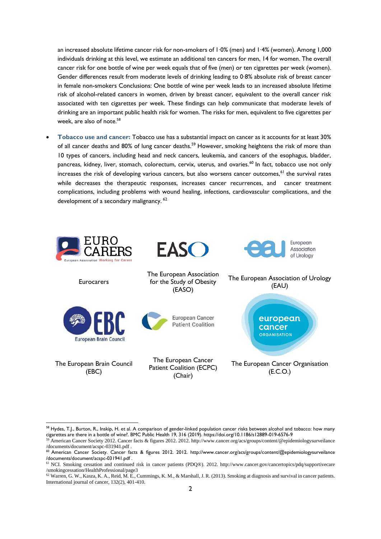an increased absolute lifetime cancer risk for non-smokers of 1∙0% (men) and 1∙4% (women). Among 1,000 individuals drinking at this level, we estimate an additional ten cancers for men, 14 for women. The overall cancer risk for one bottle of wine per week equals that of five (men) or ten cigarettes per week (women). Gender differences result from moderate levels of drinking leading to 0∙8% absolute risk of breast cancer in female non-smokers Conclusions: One bottle of wine per week leads to an increased absolute lifetime risk of alcohol-related cancers in women, driven by breast cancer, equivalent to the overall cancer risk associated with ten cigarettes per week. These findings can help communicate that moderate levels of drinking are an important public health risk for women. The risks for men, equivalent to five cigarettes per week, are also of note. 58

• **Tobacco use and cancer:** Tobacco use has a substantial impact on cancer as it accounts for at least 30% of all cancer deaths and 80% of lung cancer deaths.<sup>59</sup> However, smoking heightens the risk of more than 10 types of cancers, including head and neck cancers, leukemia, and cancers of the esophagus, bladder, pancreas, kidney, liver, stomach, colorectum, cervix, uterus, and ovaries.<sup>60</sup> In fact, tobacco use not only increases the risk of developing various cancers, but also worsens cancer outcomes,<sup>61</sup> the survival rates while decreases the therapeutic responses, increases cancer recurrences, and cancer treatment complications, including problems with wound healing, infections, cardiovascular complications, and the development of a secondary malignancy.<sup>62</sup>



<sup>58</sup> Hydes, T.J., Burton, R., Inskip, H. et al. A comparison of gender-linked population cancer risks between alcohol and tobacco: how many cigarettes are there in a bottle of wine?. BMC Public Health 19, 316 (2019). https://doi.org/10.1186/s12889-019-6576-9

<sup>59</sup> American Cancer Society 2012. Cancer facts & figures 2012. 2012. http://www.cancer.org/acs/groups/content/@epidemiologysurveilance /documents/document/acspc-031941.pdf .

<sup>&</sup>lt;sup>60</sup> American Cancer Society. Cancer facts & figures 2012. 2012. http://www.cancer.org/acs/groups/content/@epidemiologysurveilance /documents/document/acspc-031941.pdf .

<sup>61</sup> NCI. Smoking cessation and continued risk in cancer patients (PDQ®). 2012. http://www.cancer.gov/cancertopics/pdq/supportivecare /smokingcessation/HealthProfessional/page3

<sup>62</sup> Warren, G. W., Kasza, K. A., Reid, M. E., Cummings, K. M., & Marshall, J. R. (2013). Smoking at diagnosis and survival in cancer patients. International journal of cancer, 132(2), 401-410.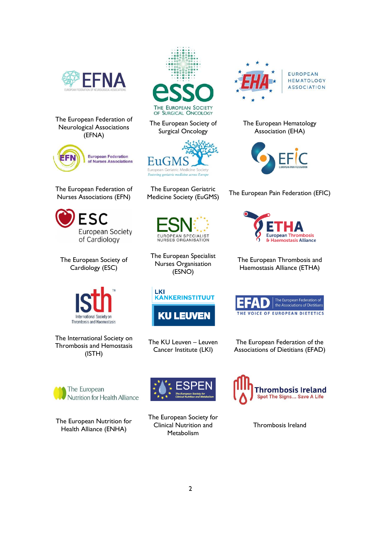

The European Federation of Neurological Associations (EFNA)



The European Federation of Nurses Associations (EFN)



The European Society of Cardiology (ESC)



The International Society on Thrombosis and Hemostasis (ISTH)



The European Society of Surgical Oncology



The European Geriatric



The European Specialist Nurses Organisation (ESNO)



The KU Leuven – Leuven Cancer Institute (LKI)



The European Federation of the Associations of Dietitians (EFAD)



The European Nutrition for Health Alliance (ENHA)



The European Society for Clinical Nutrition and **Metabolism** 



Thrombosis Ireland



EUROPEAN HEMATOLOGY **ASSOCIATION** 

The European Hematology Association (EHA)



The European Gerlatric<br>Medicine Society (EuGMS) The European Pain Federation (EFIC)



The European Thrombosis and Haemostasis Alliance (ETHA)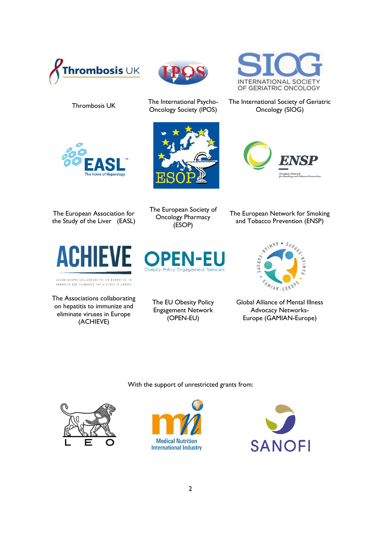







The International Psycho-<br>Thrombosis UK The International Psycho-Oncology Society (IPOS)



The International Society of Geriatric Oncology (SIOG)



The European Association for the Study of the Liver (EASL)



ASSOCIATIONS COLLABORATING ON HEPATITIS TO<br>IMMUNIZE AND ELIMINATE THE VIRUSES IN EUROPE

The Associations collaborating on hepatitis to immunize and eliminate viruses in Europe (ACHIEVE)

The European Society of Oncology Pharmacy (ESOP)

The European Network for Smoking and Tobacco Prevention (ENSP)



The EU Obesity Policy Engagement Network (OPEN-EU)



Global Alliance of Mental Illness Advocacy Networks-Europe (GAMIAN-Europe)

With the support of unrestricted grants from: